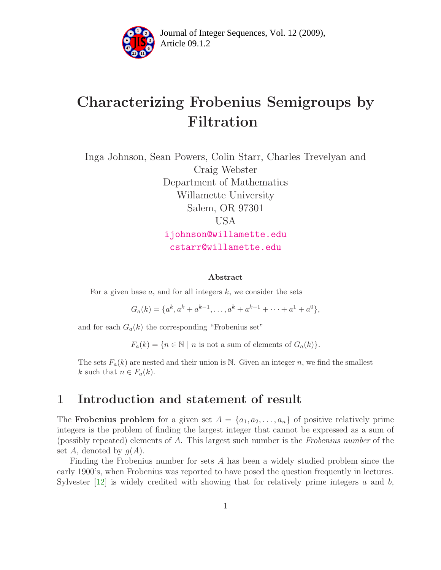

Article 09.1.2 **<sup>2</sup>** Journal of Integer Sequences, Vol. 12 (2009),

# Characterizing Frobenius Semigroups by Filtration

Inga Johnson, Sean Powers, Colin Starr, Charles Trevelyan and Craig Webster Department of Mathematics Willamette University Salem, OR 97301 USA [ijohnson@willamette.edu](mailto:ijohnson@willamette.edu) [cstarr@willamette.edu](mailto:cstarr@willamette.edu)

#### Abstract

For a given base  $a$ , and for all integers  $k$ , we consider the sets

 $G_a(k) = \{a^k, a^k + a^{k-1}, \dots, a^k + a^{k-1} + \dots + a^1 + a^0\},\$ 

and for each  $G_a(k)$  the corresponding "Frobenius set"

 $F_a(k) = \{n \in \mathbb{N} \mid n \text{ is not a sum of elements of } G_a(k)\}.$ 

The sets  $F_a(k)$  are nested and their union is N. Given an integer n, we find the smallest k such that  $n \in F_a(k)$ .

### 1 Introduction and statement of result

The **Frobenius problem** for a given set  $A = \{a_1, a_2, \ldots, a_n\}$  of positive relatively prime integers is the problem of finding the largest integer that cannot be expressed as a sum of (possibly repeated) elements of A. This largest such number is the Frobenius number of the set A, denoted by  $g(A)$ .

Finding the Frobenius number for sets A has been a widely studied problem since the early 1900's, when Frobenius was reported to have posed the question frequently in lectures. Sylvester  $[12]$  is widely credited with showing that for relatively prime integers a and b,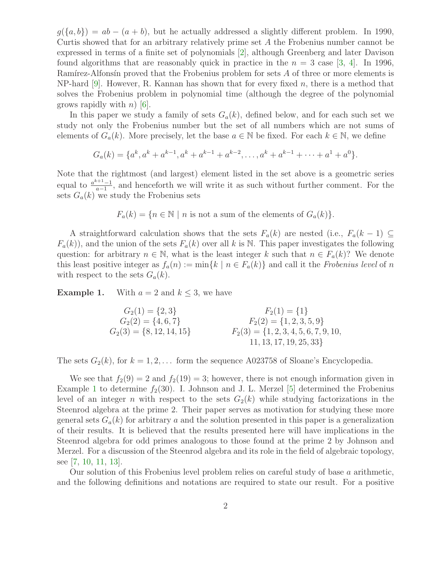$g({a,b}) = ab - (a + b)$ , but he actually addressed a slightly different problem. In 1990, Curtis showed that for an arbitrary relatively prime set A the Frobenius number cannot be expressed in terms of a finite set of polynomials [\[2\]](#page-14-1), although Greenberg and later Davison found algorithms that are reasonably quick in practice in the  $n = 3$  case [\[3,](#page-14-2) [4\]](#page-14-3). In 1996, Ram $\alpha$ <sup>r</sup> results are resulted that the Frobenius problem for sets A of three or more elements is NP-hard  $[9]$ . However, R. Kannan has shown that for every fixed n, there is a method that solves the Frobenius problem in polynomial time (although the degree of the polynomial grows rapidly with  $n$ ) [\[6\]](#page-14-5).

In this paper we study a family of sets  $G_a(k)$ , defined below, and for each such set we study not only the Frobenius number but the set of all numbers which are not sums of elements of  $G_a(k)$ . More precisely, let the base  $a \in \mathbb{N}$  be fixed. For each  $k \in \mathbb{N}$ , we define

$$
G_a(k) = \{a^k, a^k + a^{k-1}, a^k + a^{k-1} + a^{k-2}, \dots, a^k + a^{k-1} + \dots + a^1 + a^0\}.
$$

Note that the rightmost (and largest) element listed in the set above is a geometric series equal to  $\frac{a^{k+1}-1}{a-1}$  $\frac{a+1-1}{a-1}$ , and henceforth we will write it as such without further comment. For the sets  $G_a(k)$  we study the Frobenius sets

 $F_a(k) = \{n \in \mathbb{N} \mid n \text{ is not a sum of the elements of } G_a(k)\}.$ 

A straightforward calculation shows that the sets  $F_a(k)$  are nested (i.e.,  $F_a(k-1) \subseteq$  $F_a(k)$ , and the union of the sets  $F_a(k)$  over all k is N. This paper investigates the following question: for arbitrary  $n \in \mathbb{N}$ , what is the least integer k such that  $n \in F_a(k)$ ? We denote this least positive integer as  $f_a(n) := \min\{k \mid n \in F_a(k)\}\$ and call it the Frobenius level of n with respect to the sets  $G_a(k)$ .

<span id="page-1-0"></span>**Example 1.** With  $a = 2$  and  $k \leq 3$ , we have

$$
G_2(1) = \{2, 3\}
$$
  
\n
$$
G_2(2) = \{4, 6, 7\}
$$
  
\n
$$
G_2(3) = \{8, 12, 14, 15\}
$$
  
\n
$$
F_2(1) = \{1\}
$$
  
\n
$$
F_2(2) = \{1, 2, 3, 5, 9\}
$$
  
\n
$$
F_2(3) = \{1, 2, 3, 4, 5, 6, 7, 9, 10, 11, 13, 17, 19, 25, 33\}
$$

The sets  $G_2(k)$ , for  $k = 1, 2, \ldots$  form the sequence A023758 of Sloane's Encyclopedia.

We see that  $f_2(9) = 2$  and  $f_2(19) = 3$ ; however, there is not enough information given in Example [1](#page-1-0) to determine  $f_2(30)$ . I. Johnson and J. L. Merzel [\[5\]](#page-14-6) determined the Frobenius level of an integer n with respect to the sets  $G_2(k)$  while studying factorizations in the Steenrod algebra at the prime 2. Their paper serves as motivation for studying these more general sets  $G_a(k)$  for arbitrary a and the solution presented in this paper is a generalization of their results. It is believed that the results presented here will have implications in the Steenrod algebra for odd primes analogous to those found at the prime 2 by Johnson and Merzel. For a discussion of the Steenrod algebra and its role in the field of algebraic topology, see [\[7,](#page-14-7) [10,](#page-14-8) [11,](#page-14-9) [13\]](#page-14-10).

Our solution of this Frobenius level problem relies on careful study of base a arithmetic, and the following definitions and notations are required to state our result. For a positive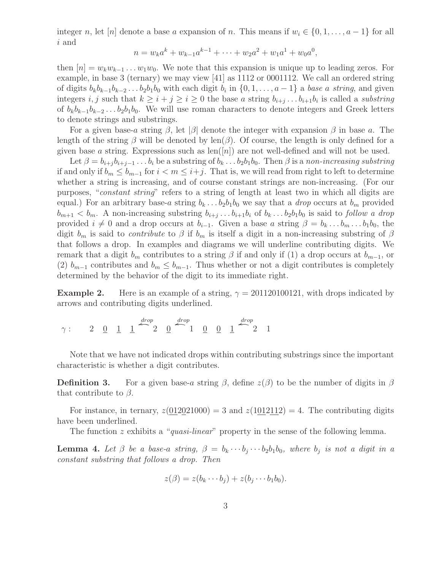integer n, let [n] denote a base a expansion of n. This means if  $w_i \in \{0, 1, \ldots, a-1\}$  for all i and

$$
n = w_k a^k + w_{k-1} a^{k-1} + \dots + w_2 a^2 + w_1 a^1 + w_0 a^0,
$$

then  $[n] = w_k w_{k-1} \dots w_1 w_0$ . We note that this expansion is unique up to leading zeros. For example, in base 3 (ternary) we may view [41] as 1112 or 0001112. We call an ordered string of digits  $b_k b_{k-1} b_{k-2} \ldots b_2 b_1 b_0$  with each digit  $b_i$  in  $\{0, 1, \ldots, a-1\}$  a base a string, and given integers *i*, *j* such that  $k \geq i + j \geq i \geq 0$  the base *a* string  $b_{i+j} \dots b_{i+1} b_i$  is called a *substring* of  $b_k b_{k-1} b_{k-2} \ldots b_2 b_1 b_0$ . We will use roman characters to denote integers and Greek letters to denote strings and substrings.

For a given base-a string  $\beta$ , let  $|\beta|$  denote the integer with expansion  $\beta$  in base a. The length of the string  $\beta$  will be denoted by len $(\beta)$ . Of course, the length is only defined for a given base a string. Expressions such as  $\text{len}([n])$  are not well-defined and will not be used.

Let  $\beta = b_{i+j} b_{i+j-1} \ldots b_i$  be a substring of  $b_k \ldots b_2 b_1 b_0$ . Then  $\beta$  is a non-increasing substring if and only if  $b_m \leq b_{m-1}$  for  $i < m \leq i+j$ . That is, we will read from right to left to determine whether a string is increasing, and of course constant strings are non-increasing. (For our purposes, "constant string" refers to a string of length at least two in which all digits are equal.) For an arbitrary base-a string  $b_k \dots b_2 b_1 b_0$  we say that a drop occurs at  $b_m$  provided  $b_{m+1} < b_m$ . A non-increasing substring  $b_{i+j} \ldots b_{i+1} b_i$  of  $b_k \ldots b_2 b_1 b_0$  is said to follow a drop provided  $i \neq 0$  and a drop occurs at  $b_{i-1}$ . Given a base a string  $\beta = b_k ... b_m ... b_1 b_0$ , the digit  $b_m$  is said to *contribute* to  $\beta$  if  $b_m$  is itself a digit in a non-increasing substring of  $\beta$ that follows a drop. In examples and diagrams we will underline contributing digits. We remark that a digit  $b_m$  contributes to a string  $\beta$  if and only if (1) a drop occurs at  $b_{m-1}$ , or (2)  $b_{m-1}$  contributes and  $b_m \leq b_{m-1}$ . Thus whether or not a digit contributes is completely determined by the behavior of the digit to its immediate right.

**Example 2.** Here is an example of a string,  $\gamma = 201120100121$ , with drops indicated by arrows and contributing digits underlined.

$$
\gamma: \qquad 2 \quad \underline{0} \quad \underline{1} \quad \underline{1} \quad \overset{drop}{\longrightarrow} \quad \underline{0} \quad \overset{drop}{\longrightarrow} \quad \underline{1} \quad \underline{0} \quad \underline{0} \quad \underline{1} \quad \overset{drop}{\longrightarrow} \quad 1
$$

Note that we have not indicated drops within contributing substrings since the important characteristic is whether a digit contributes.

**Definition 3.** For a given base-a string  $\beta$ , define  $z(\beta)$  to be the number of digits in  $\beta$ that contribute to  $\beta$ .

For instance, in ternary,  $z(0.12021000) = 3$  and  $z(1.012112) = 4$ . The contributing digits have been underlined.

The function z exhibits a "quasi-linear" property in the sense of the following lemma.

**Lemma 4.** Let  $\beta$  be a base-a string,  $\beta = b_k \cdots b_j \cdots b_2 b_1 b_0$ , where  $b_j$  is not a digit in a constant substring that follows a drop. Then

$$
z(\beta) = z(b_k \cdots b_j) + z(b_j \cdots b_1 b_0).
$$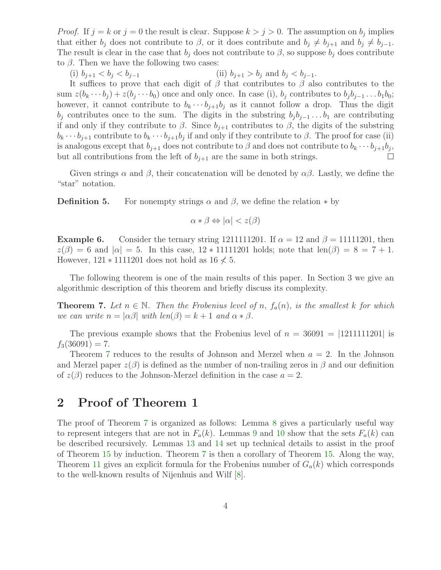*Proof.* If  $j = k$  or  $j = 0$  the result is clear. Suppose  $k > j > 0$ . The assumption on  $b_j$  implies that either  $b_j$  does not contribute to  $\beta$ , or it does contribute and  $b_j \neq b_{j+1}$  and  $b_j \neq b_{j-1}$ . The result is clear in the case that  $b_j$  does not contribute to  $\beta$ , so suppose  $b_j$  does contribute to  $\beta$ . Then we have the following two cases:

(i)  $b_{j+1} < b_j < b_{j-1}$  (ii)  $b_{j+1} > b_j$  and  $b_j < b_{j-1}$ .

It suffices to prove that each digit of  $\beta$  that contributes to  $\beta$  also contributes to the sum  $z(b_k \cdots b_j) + z(b_j \cdots b_0)$  once and only once. In case (i),  $b_j$  contributes to  $b_j b_{j-1} \ldots b_1 b_0$ ; however, it cannot contribute to  $b_k \cdots b_{j+1} b_j$  as it cannot follow a drop. Thus the digit  $b_j$  contributes once to the sum. The digits in the substring  $b_j b_{j-1} \dots b_1$  are contributing if and only if they contribute to  $\beta$ . Since  $b_{j+1}$  contributes to  $\beta$ , the digits of the substring  $b_k \cdots b_{j+1}$  contribute to  $b_k \cdots b_{j+1} b_j$  if and only if they contribute to  $\beta$ . The proof for case (ii) is analogous except that  $b_{j+1}$  does not contribute to  $\beta$  and does not contribute to  $b_k \cdots b_{j+1} b_j$ , but all contributions from the left of  $b_{i+1}$  are the same in both strings.  $\Box$ 

Given strings  $\alpha$  and  $\beta$ , their concatenation will be denoted by  $\alpha\beta$ . Lastly, we define the "star" notation.

**Definition 5.** For nonempty strings  $\alpha$  and  $\beta$ , we define the relation  $*$  by

$$
\alpha * \beta \Leftrightarrow |\alpha| < z(\beta)
$$

**Example 6.** Consider the ternary string 1211111201. If  $\alpha = 12$  and  $\beta = 11111201$ , then  $z(\beta) = 6$  and  $|\alpha| = 5$ . In this case,  $12 * 11111201$  holds; note that  $\text{len}(\beta) = 8 = 7 + 1$ . However,  $121 * 1111201$  does not hold as  $16 \nless 5$ .

<span id="page-3-0"></span>The following theorem is one of the main results of this paper. In Section 3 we give an algorithmic description of this theorem and briefly discuss its complexity.

**Theorem 7.** Let  $n \in \mathbb{N}$ . Then the Frobenius level of n,  $f_a(n)$ , is the smallest k for which we can write  $n = |\alpha\beta|$  with  $len(\beta) = k + 1$  and  $\alpha * \beta$ .

The previous example shows that the Frobenius level of  $n = 36091 = |1211111201|$  is  $f_3(36091) = 7.$ 

Theorem [7](#page-3-0) reduces to the results of Johnson and Merzel when  $a = 2$ . In the Johnson and Merzel paper  $z(\beta)$  is defined as the number of non-trailing zeros in  $\beta$  and our definition of  $z(\beta)$  reduces to the Johnson-Merzel definition in the case  $a = 2$ .

# 2 Proof of Theorem 1

<span id="page-3-1"></span>The proof of Theorem [7](#page-3-0) is organized as follows: Lemma [8](#page-3-1) gives a particularly useful way to represent integers that are not in  $F_a(k)$ . Lemmas [9](#page-4-0) and [10](#page-5-0) show that the sets  $F_a(k)$  can be described recursively. Lemmas [13](#page-6-0) and [14](#page-7-0) set up technical details to assist in the proof of Theorem [15](#page-9-0) by induction. Theorem [7](#page-3-0) is then a corollary of Theorem [15.](#page-9-0) Along the way, Theorem [11](#page-5-1) gives an explicit formula for the Frobenius number of  $G_a(k)$  which corresponds to the well-known results of Nijenhuis and Wilf [\[8\]](#page-14-11).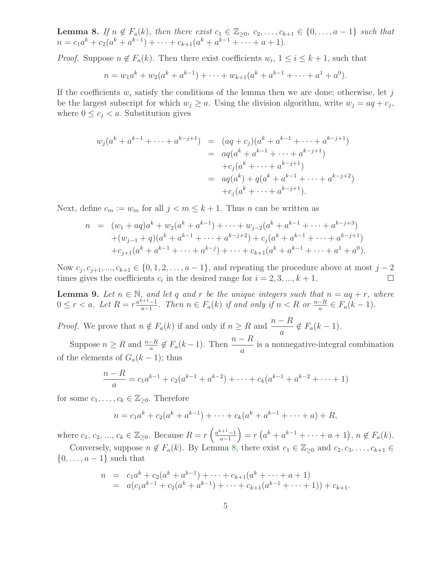**Lemma 8.** If  $n \notin F_a(k)$ , then there exist  $c_1 \in \mathbb{Z}_{\geq 0}$ ,  $c_2, \ldots, c_{k+1} \in \{0, \ldots, a-1\}$  such that  $n = c_1 a^k + c_2 (a^k + a^{k-1}) + \cdots + c_{k+1} (a^k + a^{k-1} + \cdots + a + 1).$ 

*Proof.* Suppose  $n \notin F_a(k)$ . Then there exist coefficients  $w_i$ ,  $1 \leq i \leq k+1$ , such that

$$
n = w_1 a^k + w_2 (a^k + a^{k-1}) + \dots + w_{k+1} (a^k + a^{k-1} + \dots + a^1 + a^0).
$$

If the coefficients  $w_i$  satisfy the conditions of the lemma then we are done; otherwise, let j be the largest subscript for which  $w_j \ge a$ . Using the division algorithm, write  $w_j = aq + c_j$ , where  $0 \leq c_j < a$ . Substitution gives

$$
w_j(a^k + a^{k-1} + \dots + a^{k-j+1}) = (aq + c_j)(a^k + a^{k-1} + \dots + a^{k-j+1})
$$
  
= 
$$
aq(a^k + a^{k-1} + \dots + a^{k-j+1})
$$
  
+
$$
c_j(a^k + \dots + a^{k-j+1})
$$
  
= 
$$
aq(a^k) + q(a^k + a^{k-1} + \dots + a^{k-j+2})
$$
  
+
$$
c_j(a^k + \dots + a^{k-j+1}).
$$

Next, define  $c_m := w_m$  for all  $j < m \leq k+1$ . Thus n can be written as

$$
n = (w_1 + aq)a^k + w_2(a^k + a^{k-1}) + \dots + w_{j-2}(a^k + a^{k-1} + \dots + a^{k-j+3})
$$
  
+ 
$$
(w_{j-1} + q)(a^k + a^{k-1} + \dots + a^{k-j+2}) + c_j(a^k + a^{k-1} + \dots + a^{k-j+1})
$$
  
+ 
$$
c_{j+1}(a^k + a^{k-1} + \dots + a^{k-j}) + \dots + c_{k+1}(a^k + a^{k-1} + \dots + a^1 + a^0).
$$

Now  $c_j, c_{j+1}, ..., c_{k+1} \in \{0, 1, 2, ..., a-1\}$ , and repeating the procedure above at most  $j-2$ times gives the coefficients  $c_i$  in the desired range for  $i = 2, 3, ..., k + 1$ .  $\Box$ 

<span id="page-4-0"></span>**Lemma 9.** Let  $n \in \mathbb{N}$ , and let q and r be the unique integers such that  $n = aq + r$ , where  $0 \leq r < a$ . Let  $R = r \frac{a^{k+1}-1}{a-1}$  $\frac{a+1-1}{a-1}$ . Then  $n \in F_a(k)$  if and only if  $n < R$  or  $\frac{n-R}{a} \in F_a(k-1)$ .

*Proof.* We prove that  $n \notin F_a(k)$  if and only if  $n \geq R$  and  $\frac{n-R}{a} \notin F_a(k-1)$ .

Suppose  $n \geq R$  and  $\frac{n-R}{a} \notin F_a(k-1)$ . Then  $\frac{n-R}{a}$ is a nonnegative-integral combination of the elements of  $G_a(k-1)$ ; thus

$$
\frac{n-R}{a} = c_1 a^{k-1} + c_2 (a^{k-1} + a^{k-2}) + \dots + c_k (a^{k-1} + a^{k-2} + \dots + 1)
$$

for some  $c_1, \ldots, c_k \in \mathbb{Z}_{\geq 0}$ . Therefore

$$
n = c_1 a^k + c_2 (a^k + a^{k-1}) + \dots + c_k (a^k + a^{k-1} + \dots + a) + R,
$$

where  $c_1, c_2, ..., c_k \in \mathbb{Z}_{\geq 0}$ . Because  $R = r \left( \frac{a^{k+1}-1}{a-1} \right)$  $a-1$  $= r(a^k + a^{k-1} + \cdots + a + 1), n \notin F_a(k).$ 

Conversely, suppose  $n \notin F_a(k)$ . By Lemma [8,](#page-3-1) there exist  $c_1 \in \mathbb{Z}_{\geq 0}$  and  $c_2, c_3, \ldots, c_{k+1} \in$  $\{0,\ldots,a-1\}$  such that

$$
n = c_1 a^k + c_2 (a^k + a^{k-1}) + \dots + c_{k+1} (a^k + \dots + a + 1)
$$
  
=  $a(c_1 a^{k-1} + c_2 (a^k + a^{k-1}) + \dots + c_{k+1} (a^{k-1} + \dots + 1)) + c_{k+1}.$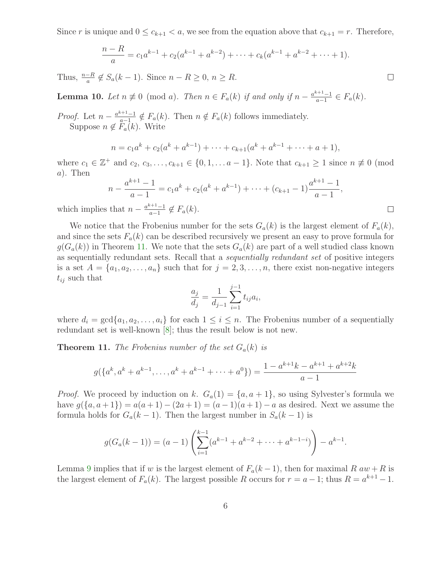Since r is unique and  $0 \leq c_{k+1} < a$ , we see from the equation above that  $c_{k+1} = r$ . Therefore,

$$
\frac{n-R}{a} = c_1 a^{k-1} + c_2 (a^{k-1} + a^{k-2}) + \dots + c_k (a^{k-1} + a^{k-2} + \dots + 1).
$$

Thus,  $\frac{n-R}{a} \notin S_a(k-1)$ . Since  $n - R \geq 0, n \geq R$ .

<span id="page-5-0"></span>**Lemma 10.** Let  $n \not\equiv 0 \pmod{a}$ . Then  $n \in F_a(k)$  if and only if  $n - \frac{a^{k+1}-1}{a-1}$  $\frac{a+1-1}{a-1} \in F_a(k)$ .

*Proof.* Let  $n - \frac{a^{k+1}-1}{a-1}$  $\frac{a+1-1}{a-1} \notin F_a(k)$ . Then  $n \notin F_a(k)$  follows immediately. Suppose  $n \notin F_a(k)$ . Write

$$
n = c_1 a^k + c_2 (a^k + a^{k-1}) + \dots + c_{k+1} (a^k + a^{k-1} + \dots + a + 1),
$$

where  $c_1 \in \mathbb{Z}^+$  and  $c_2, c_3, \ldots, c_{k+1} \in \{0, 1, \ldots a-1\}$ . Note that  $c_{k+1} \geq 1$  since  $n \not\equiv 0 \pmod{2}$ a). Then

$$
n - \frac{a^{k+1} - 1}{a - 1} = c_1 a^k + c_2 (a^k + a^{k-1}) + \dots + (c_{k+1} - 1) \frac{a^{k+1} - 1}{a - 1},
$$

which implies that  $n - \frac{a^{k+1}-1}{a-1}$  $\frac{a-1}{a-1} \notin F_a(k).$ 

We notice that the Frobenius number for the sets  $G_a(k)$  is the largest element of  $F_a(k)$ , and since the sets  $F_a(k)$  can be described recursively we present an easy to prove formula for  $g(G_a(k))$  in Theorem [11.](#page-5-1) We note that the sets  $G_a(k)$  are part of a well studied class known as sequentially redundant sets. Recall that a sequentially redundant set of positive integers is a set  $A = \{a_1, a_2, \ldots, a_n\}$  such that for  $j = 2, 3, \ldots, n$ , there exist non-negative integers  $t_{ij}$  such that

$$
\frac{a_j}{d_j} = \frac{1}{d_{j-1}} \sum_{i=1}^{j-1} t_{ij} a_i,
$$

<span id="page-5-1"></span>where  $d_i = \gcd\{a_1, a_2, \ldots, a_i\}$  for each  $1 \leq i \leq n$ . The Frobenius number of a sequentially redundant set is well-known [\[8\]](#page-14-11); thus the result below is not new.

**Theorem 11.** The Frobenius number of the set  $G_a(k)$  is

$$
g({a^k, a^k + a^{k-1}, \dots, a^k + a^{k-1} + \dots + a^0}) = \frac{1 - a^{k+1}k - a^{k+1} + a^{k+2}k}{a-1}
$$

*Proof.* We proceed by induction on k.  $G_a(1) = \{a, a+1\}$ , so using Sylvester's formula we have  $g({a, a+1}) = a(a+1) - (2a+1) = (a-1)(a+1) - a$  as desired. Next we assume the formula holds for  $G_a(k-1)$ . Then the largest number in  $S_a(k-1)$  is

$$
g(G_a(k-1)) = (a-1)\left(\sum_{i=1}^{k-1} (a^{k-1} + a^{k-2} + \dots + a^{k-1-i})\right) - a^{k-1}.
$$

Lemma [9](#page-4-0) implies that if w is the largest element of  $F_a(k-1)$ , then for maximal R aw + R is the largest element of  $F_a(k)$ . The largest possible R occurs for  $r = a - 1$ ; thus  $R = a^{k+1} - 1$ .

 $\Box$ 

 $\Box$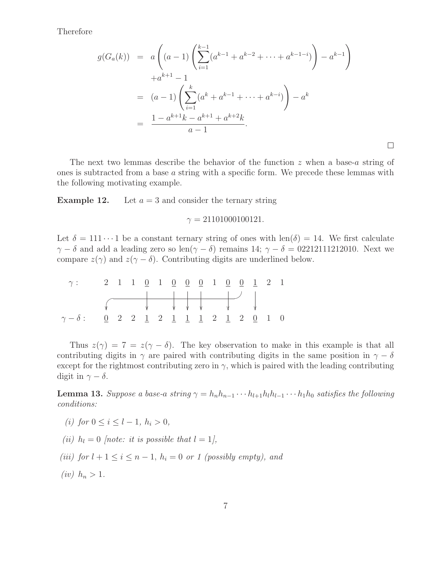Therefore

$$
g(G_a(k)) = a\left((a-1)\left(\sum_{i=1}^{k-1} (a^{k-1} + a^{k-2} + \dots + a^{k-1-i})\right) - a^{k-1}\right)
$$
  

$$
+ a^{k+1} - 1
$$
  

$$
= (a-1)\left(\sum_{i=1}^k (a^k + a^{k-1} + \dots + a^{k-i})\right) - a^k
$$
  

$$
= \frac{1 - a^{k+1}k - a^{k+1} + a^{k+2}k}{a-1}.
$$

 $\Box$ 

The next two lemmas describe the behavior of the function z when a base-a string of ones is subtracted from a base a string with a specific form. We precede these lemmas with the following motivating example.

**Example 12.** Let  $a = 3$  and consider the ternary string

#### $\gamma = 21101000100121.$

Let  $\delta = 111 \cdots 1$  be a constant ternary string of ones with len( $\delta$ ) = 14. We first calculate  $\gamma - \delta$  and add a leading zero so len( $\gamma - \delta$ ) remains 14;  $\gamma - \delta = 0.02212111212010$ . Next we compare  $z(\gamma)$  and  $z(\gamma - \delta)$ . Contributing digits are underlined below.

| $\gamma$ : 2 1 1 <u>0 1 0 0 0 1 0 0 1</u> 2 1   |  |  |  |  |  |  |  |
|-------------------------------------------------|--|--|--|--|--|--|--|
|                                                 |  |  |  |  |  |  |  |
|                                                 |  |  |  |  |  |  |  |
| $\gamma - \delta$ : 0 2 2 1 2 1 1 1 2 1 2 0 1 0 |  |  |  |  |  |  |  |

Thus  $z(\gamma) = 7 = z(\gamma - \delta)$ . The key observation to make in this example is that all contributing digits in  $\gamma$  are paired with contributing digits in the same position in  $\gamma - \delta$ except for the rightmost contributing zero in  $\gamma$ , which is paired with the leading contributing digit in  $\gamma - \delta$ .

<span id="page-6-0"></span>**Lemma 13.** Suppose a base-a string  $\gamma = h_n h_{n-1} \cdots h_{l+1} h_l h_{l-1} \cdots h_1 h_0$  satisfies the following conditions:

- (i) for  $0 \le i \le l-1, h_i > 0$ ,
- (ii)  $h_l = 0$  [note: it is possible that  $l = 1$ ],
- (iii) for  $l + 1 \leq i \leq n 1$ ,  $h_i = 0$  or 1 (possibly empty), and
- (iv)  $h_n > 1$ .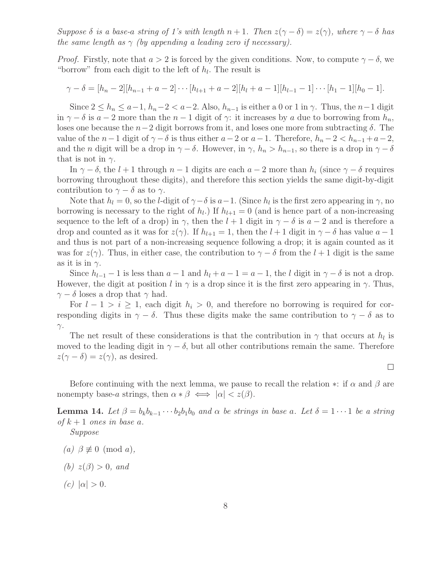Suppose  $\delta$  is a base-a string of 1's with length  $n + 1$ . Then  $z(\gamma - \delta) = z(\gamma)$ , where  $\gamma - \delta$  has the same length as  $\gamma$  (by appending a leading zero if necessary).

*Proof.* Firstly, note that  $a > 2$  is forced by the given conditions. Now, to compute  $\gamma - \delta$ , we "borrow" from each digit to the left of  $h_l$ . The result is

$$
\gamma - \delta = [h_n - 2][h_{n-1} + a - 2] \cdots [h_{l+1} + a - 2][h_l + a - 1][h_{l-1} - 1] \cdots [h_1 - 1][h_0 - 1].
$$

Since  $2 \le h_n \le a-1$ ,  $h_n-2 < a-2$ . Also,  $h_{n-1}$  is either a 0 or 1 in  $\gamma$ . Thus, the  $n-1$  digit in  $\gamma - \delta$  is  $a - 2$  more than the  $n - 1$  digit of  $\gamma$ : it increases by a due to borrowing from  $h_n$ , loses one because the  $n-2$  digit borrows from it, and loses one more from subtracting  $\delta$ . The value of the  $n-1$  digit of  $\gamma-\delta$  is thus either  $a-2$  or  $a-1$ . Therefore,  $h_n-2 < h_{n-1}+a-2$ , and the *n* digit will be a drop in  $\gamma - \delta$ . However, in  $\gamma$ ,  $h_n > h_{n-1}$ , so there is a drop in  $\gamma - \delta$ that is not in  $\gamma$ .

In  $\gamma - \delta$ , the  $l + 1$  through  $n - 1$  digits are each  $a - 2$  more than  $h_i$  (since  $\gamma - \delta$  requires borrowing throughout these digits), and therefore this section yields the same digit-by-digit contribution to  $\gamma - \delta$  as to  $\gamma$ .

Note that  $h_l = 0$ , so the *l*-digit of  $\gamma - \delta$  is  $a-1$ . (Since  $h_l$  is the first zero appearing in  $\gamma$ , no borrowing is necessary to the right of  $h_l$ .) If  $h_{l+1} = 0$  (and is hence part of a non-increasing sequence to the left of a drop) in  $\gamma$ , then the  $l + 1$  digit in  $\gamma - \delta$  is  $a - 2$  and is therefore a drop and counted as it was for  $z(\gamma)$ . If  $h_{l+1} = 1$ , then the  $l + 1$  digit in  $\gamma - \delta$  has value  $a - 1$ and thus is not part of a non-increasing sequence following a drop; it is again counted as it was for  $z(\gamma)$ . Thus, in either case, the contribution to  $\gamma - \delta$  from the  $l + 1$  digit is the same as it is in  $\gamma$ .

Since  $h_{l-1}-1$  is less than  $a-1$  and  $h_l+a-1=a-1$ , the l digit in  $\gamma-\delta$  is not a drop. However, the digit at position l in  $\gamma$  is a drop since it is the first zero appearing in  $\gamma$ . Thus,  $\gamma - \delta$  loses a drop that  $\gamma$  had.

For  $l - 1 > i \geq 1$ , each digit  $h_i > 0$ , and therefore no borrowing is required for corresponding digits in  $\gamma - \delta$ . Thus these digits make the same contribution to  $\gamma - \delta$  as to  $γ$ .

The net result of these considerations is that the contribution in  $\gamma$  that occurs at  $h_l$  is moved to the leading digit in  $\gamma - \delta$ , but all other contributions remain the same. Therefore  $z(\gamma - \delta) = z(\gamma)$ , as desired.

 $\Box$ 

<span id="page-7-0"></span>Before continuing with the next lemma, we pause to recall the relation  $\ast$ : if  $\alpha$  and  $\beta$  are nonempty base-a strings, then  $\alpha * \beta \iff |\alpha| < z(\beta)$ .

**Lemma 14.** Let  $\beta = b_k b_{k-1} \cdots b_2 b_1 b_0$  and  $\alpha$  be strings in base a. Let  $\delta = 1 \cdots 1$  be a string of  $k+1$  ones in base a.

Suppose

- (a)  $\beta \not\equiv 0 \pmod{a}$ ,
- (b)  $z(\beta) > 0$ , and
- (c)  $|\alpha| > 0$ .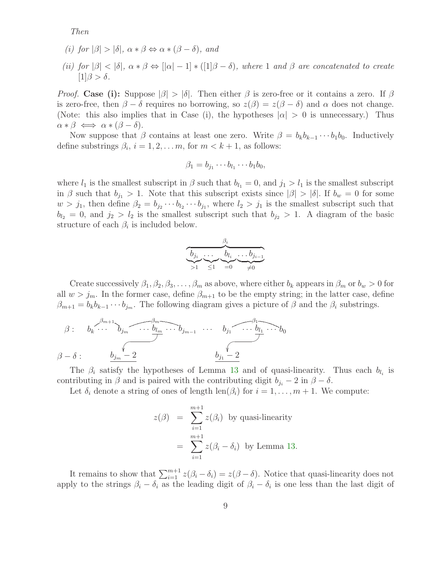Then

- (i) for  $|\beta| > |\delta|$ ,  $\alpha * \beta \Leftrightarrow \alpha * (\beta \delta)$ , and
- (ii) for  $|\beta| < |\delta|$ ,  $\alpha * \beta \Leftrightarrow |[\alpha|-1] * ([1]\beta \delta)$ , where 1 and  $\beta$  are concatenated to create  $[1]\beta > \delta$ .

*Proof.* Case (i): Suppose  $|\beta| > |\delta|$ . Then either  $\beta$  is zero-free or it contains a zero. If  $\beta$ is zero-free, then  $\beta - \delta$  requires no borrowing, so  $z(\beta) = z(\beta - \delta)$  and  $\alpha$  does not change. (Note: this also implies that in Case (i), the hypotheses  $|\alpha| > 0$  is unnecessary.) Thus  $\alpha * \beta \iff \alpha * (\beta - \delta).$ 

Now suppose that  $\beta$  contains at least one zero. Write  $\beta = b_k b_{k-1} \cdots b_1 b_0$ . Inductively define substrings  $\beta_i$ ,  $i = 1, 2, \ldots m$ , for  $m < k + 1$ , as follows:

$$
\beta_1=b_{j_1}\cdots b_{l_1}\cdots b_1b_0,
$$

where  $l_1$  is the smallest subscript in  $\beta$  such that  $b_{l_1} = 0$ , and  $j_1 > l_1$  is the smallest subscript in β such that  $b_{i_1} > 1$ . Note that this subscript exists since  $|\beta| > |\delta|$ . If  $b_w = 0$  for some  $w > j_1$ , then define  $\beta_2 = b_{j_2} \cdots b_{l_2} \cdots b_{j_1}$ , where  $l_2 > j_1$  is the smallest subscript such that  $b_{l_2} = 0$ , and  $j_2 > l_2$  is the smallest subscript such that  $b_{j_2} > 1$ . A diagram of the basic structure of each  $\beta_i$  is included below.

$$
\underbrace{\overbrace{b_{j_i}\ldots b_{l_i}\ldots b_{j_{i-1}}}}_{>1\leq 1\leq 0\qquad \ \ \, \neq 0}
$$

Create successively  $\beta_1, \beta_2, \beta_3, \ldots, \beta_m$  as above, where either  $b_k$  appears in  $\beta_m$  or  $b_w > 0$  for all  $w > j_m$ . In the former case, define  $\beta_{m+1}$  to be the empty string; in the latter case, define  $\beta_{m+1} = b_k b_{k-1} \cdots b_{j_m}$ . The following diagram gives a picture of  $\beta$  and the  $\beta_i$  substrings.

$$
\beta: \quad b_k \stackrel{\beta_{m+1}}{\cdots} b_{j_m} \stackrel{\beta_m}{\cdots} \stackrel{\beta_m}{\cdots} b_{j_{m-1}} \cdots b_{j_1} \stackrel{\beta_1}{\cdots} b_1 \cdots b_0
$$
\n
$$
\beta - \delta: \quad b_{j_m} - 2 \qquad b_{j_1} - 2
$$

The  $\beta_i$  satisfy the hypotheses of Lemma [13](#page-6-0) and of quasi-linearity. Thus each  $b_{l_i}$  is contributing in  $\beta$  and is paired with the contributing digit  $b_{j_i} - 2$  in  $\beta - \delta$ .

Let  $\delta_i$  denote a string of ones of length len( $\beta_i$ ) for  $i = 1, \ldots, m + 1$ . We compute:

$$
z(\beta) = \sum_{i=1}^{m+1} z(\beta_i) \text{ by quasi-linearity}
$$

$$
= \sum_{i=1}^{m+1} z(\beta_i - \delta_i) \text{ by Lemma 13.}
$$

It remains to show that  $\sum_{i=1}^{m+1} z(\beta_i - \delta_i) = z(\beta - \delta)$ . Notice that quasi-linearity does not apply to the strings  $\beta_i - \delta_i$  as the leading digit of  $\beta_i - \delta_i$  is one less than the last digit of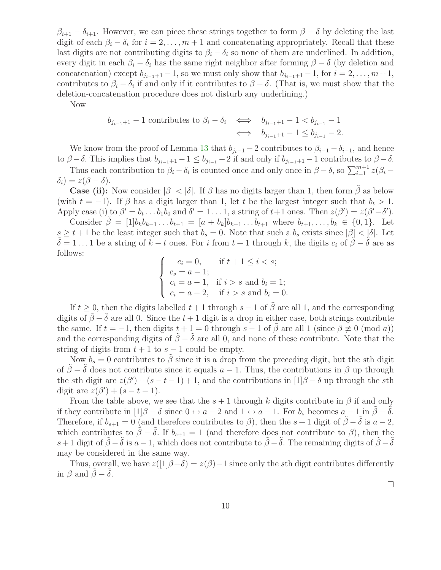$\beta_{i+1} - \delta_{i+1}$ . However, we can piece these strings together to form  $\beta - \delta$  by deleting the last digit of each  $\beta_i - \delta_i$  for  $i = 2, \ldots, m + 1$  and concatenating appropriately. Recall that these last digits are not contributing digits to  $\beta_i - \delta_i$  so none of them are underlined. In addition, every digit in each  $\beta_i - \delta_i$  has the same right neighbor after forming  $\beta - \delta$  (by deletion and concatenation) except  $b_{j_{i-1}+1}-1$ , so we must only show that  $b_{j_{i-1}+1}-1$ , for  $i=2,\ldots,m+1$ , contributes to  $\beta_i - \delta_i$  if and only if it contributes to  $\beta - \delta$ . (That is, we must show that the deletion-concatenation procedure does not disturb any underlining.)

Now

$$
b_{j_{i-1}+1} - 1 \text{ contributes to } \beta_i - \delta_i \iff b_{j_{i-1}+1} - 1 < b_{j_{i-1}} - 1
$$
\n
$$
\iff b_{j_{i-1}+1} - 1 \le b_{j_{i-1}} - 2.
$$

We know from the proof of Lemma [13](#page-6-0) that  $b_{i-1}$  – 2 contributes to  $\beta_{i-1} - \delta_{i-1}$ , and hence to  $\beta - \delta$ . This implies that  $b_{j_{i-1}+1} - 1 \le b_{j_{i-1}} - 2$  if and only if  $b_{j_{i-1}+1} - 1$  contributes to  $\beta - \delta$ .

Thus each contribution to  $\beta_i - \delta_i$  is counted once and only once in  $\beta - \delta$ , so  $\sum_{i=1}^{m+1} z(\beta_i - \delta_i)$  $\delta_i$ ) =  $z(\beta - \delta)$ .

**Case (ii):** Now consider  $|\beta| < |\delta|$ . If  $\beta$  has no digits larger than 1, then form  $\beta$  as below (with  $t = -1$ ). If  $\beta$  has a digit larger than 1, let t be the largest integer such that  $b_t > 1$ . Apply case (i) to  $\beta' = b_t \dots b_1 b_0$  and  $\delta' = 1 \dots 1$ , a string of  $t+1$  ones. Then  $z(\beta') = z(\beta' - \delta')$ .

Consider  $\beta = [1]b_kb_{k-1} \ldots b_{t+1} = [a + b_k]b_{k-1} \ldots b_{t+1}$  where  $b_{t+1}, \ldots, b_k \in \{0, 1\}$ . Let  $s \geq t+1$  be the least integer such that  $b_s = 0$ . Note that such a  $b_s$  exists since  $|\beta| < |\delta|$ . Let  $\delta = 1 \dots 1$  be a string of  $k - t$  ones. For i from  $t + 1$  through k, the digits  $c_i$  of  $\beta - \delta$  are as follows:

$$
\begin{cases}\n c_i = 0, & \text{if } t + 1 \le i < s; \\
c_s = a - 1; \\
c_i = a - 1, & \text{if } i > s \text{ and } b_i = 1; \\
c_i = a - 2, & \text{if } i > s \text{ and } b_i = 0.\n\end{cases}
$$

If  $t \geq 0$ , then the digits labelled  $t + 1$  through  $s - 1$  of  $\tilde{\beta}$  are all 1, and the corresponding digits of  $\tilde{\beta}-\tilde{\delta}$  are all 0. Since the  $t+1$  digit is a drop in either case, both strings contribute the same. If  $t = -1$ , then digits  $t + 1 = 0$  through  $s - 1$  of  $\hat{\beta}$  are all  $1$  (since  $\beta \not\equiv 0 \pmod{a}$ ) and the corresponding digits of  $\tilde{\beta} - \tilde{\delta}$  are all 0, and none of these contribute. Note that the string of digits from  $t + 1$  to  $s - 1$  could be empty.

Now  $b_s = 0$  contributes to  $\tilde{\beta}$  since it is a drop from the preceding digit, but the sth digit of  $\hat{\beta} - \hat{\delta}$  does not contribute since it equals  $a - 1$ . Thus, the contributions in  $\beta$  up through the sth digit are  $z(\beta') + (s - t - 1) + 1$ , and the contributions in  $[1]\beta - \delta$  up through the sth digit are  $z(\beta') + (s - t - 1)$ .

From the table above, we see that the  $s + 1$  through k digits contribute in  $\beta$  if and only if they contribute in  $[1]\beta - \delta$  since  $0 \leftrightarrow a - 2$  and  $1 \leftrightarrow a - 1$ . For  $b_s$  becomes  $a - 1$  in  $\tilde{\beta} - \tilde{\delta}$ . Therefore, if  $b_{s+1} = 0$  (and therefore contributes to  $\beta$ ), then the  $s + 1$  digit of  $\tilde{\beta} - \tilde{\delta}$  is  $a - 2$ , which contributes to  $\tilde{\beta} - \tilde{\delta}$ . If  $b_{s+1} = 1$  (and therefore does not contribute to  $\beta$ ), then the s+1 digit of  $\tilde{\beta}-\tilde{\delta}$  is  $a-1$ , which does not contribute to  $\tilde{\beta}-\tilde{\delta}$ . The remaining digits of  $\tilde{\beta}-\tilde{\delta}$ may be considered in the same way.

<span id="page-9-0"></span>Thus, overall, we have  $z([1]\beta-\delta)=z(\beta)-1$  since only the sth digit contributes differently in  $\beta$  and  $\beta - \delta$ .

 $\Box$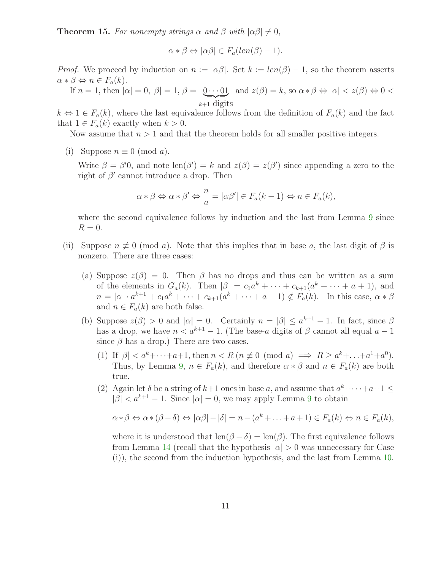**Theorem 15.** For nonempty strings  $\alpha$  and  $\beta$  with  $|\alpha\beta| \neq 0$ ,

$$
\alpha * \beta \Leftrightarrow |\alpha \beta| \in F_a(len(\beta) - 1).
$$

*Proof.* We proceed by induction on  $n := |\alpha \beta|$ . Set  $k := len(\beta) - 1$ , so the theorem asserts  $\alpha * \beta \Leftrightarrow n \in F_a(k)$ .

If 
$$
n = 1
$$
, then  $|\alpha| = 0$ ,  $|\beta| = 1$ ,  $\beta = \underbrace{0 \cdots 01}_{k+1 \text{ digits}}$  and  $z(\beta) = k$ , so  $\alpha * \beta \Leftrightarrow |\alpha| < z(\beta) \Leftrightarrow 0 < z(\beta) \Leftrightarrow 0$ .

 $k \Leftrightarrow 1 \in F_a(k)$ , where the last equivalence follows from the definition of  $F_a(k)$  and the fact that  $1 \in F_a(k)$  exactly when  $k > 0$ .

Now assume that  $n > 1$  and that the theorem holds for all smaller positive integers.

(i) Suppose  $n \equiv 0 \pmod{a}$ .

Write  $\beta = \beta'$ , and note  $\text{len}(\beta') = k$  and  $z(\beta) = z(\beta')$  since appending a zero to the right of  $\beta'$  cannot introduce a drop. Then

$$
\alpha * \beta \Leftrightarrow \alpha * \beta' \Leftrightarrow \frac{n}{a} = |\alpha \beta'| \in F_a(k-1) \Leftrightarrow n \in F_a(k),
$$

where the second equivalence follows by induction and the last from Lemma [9](#page-4-0) since  $R=0.$ 

- (ii) Suppose  $n \not\equiv 0 \pmod{a}$ . Note that this implies that in base a, the last digit of  $\beta$  is nonzero. There are three cases:
	- (a) Suppose  $z(\beta) = 0$ . Then  $\beta$  has no drops and thus can be written as a sum of the elements in  $G_a(k)$ . Then  $|\beta| = c_1 a^k + \cdots + c_{k+1} (a^k + \cdots + a + 1)$ , and  $n = |\alpha| \cdot a^{k+1} + c_1 a^k + \cdots + c_{k+1}(a^k + \cdots + a + 1) \notin F_a(k)$ . In this case,  $\alpha * \beta$ and  $n \in F_a(k)$  are both false.
	- (b) Suppose  $z(\beta) > 0$  and  $|\alpha| = 0$ . Certainly  $n = |\beta| \leq a^{k+1} 1$ . In fact, since  $\beta$ has a drop, we have  $n < a^{k+1} - 1$ . (The base-a digits of  $\beta$  cannot all equal  $a - 1$ ) since  $\beta$  has a drop.) There are two cases.
		- (1) If  $|\beta| < a^k + \cdots + a + 1$ , then  $n < R$   $(n \not\equiv 0 \pmod{a} \implies R \ge a^k + \cdots + a^1 + a^0)$ . Thus, by Lemma [9,](#page-4-0)  $n \in F_a(k)$ , and therefore  $\alpha * \beta$  and  $n \in F_a(k)$  are both true.
		- (2) Again let  $\delta$  be a string of  $k+1$  ones in base a, and assume that  $a^k+\cdots+a+1\leq$  $|\beta| < a^{k+1} - 1$ . Since  $|\alpha| = 0$ , we may apply Lemma [9](#page-4-0) to obtain

$$
\alpha * \beta \Leftrightarrow \alpha * (\beta - \delta) \Leftrightarrow |\alpha \beta| - |\delta| = n - (a^k + \ldots + a + 1) \in F_a(k) \Leftrightarrow n \in F_a(k),
$$

where it is understood that  $len(\beta - \delta) = len(\beta)$ . The first equivalence follows from Lemma [14](#page-7-0) (recall that the hypothesis  $|\alpha| > 0$  was unnecessary for Case (i)), the second from the induction hypothesis, and the last from Lemma [10.](#page-5-0)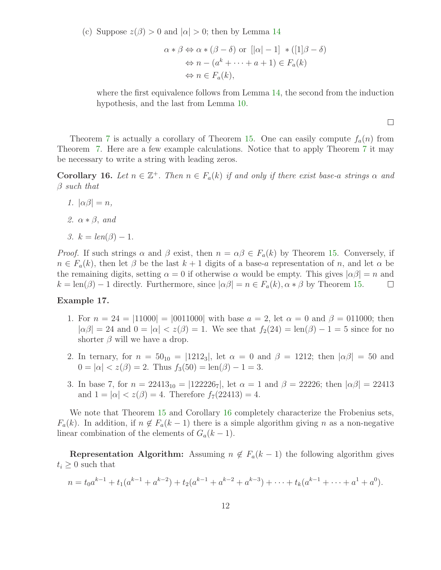(c) Suppose  $z(\beta) > 0$  and  $|\alpha| > 0$ ; then by Lemma [14](#page-7-0)

$$
\alpha * \beta \Leftrightarrow \alpha * (\beta - \delta) \text{ or } [|\alpha| - 1] * ([1]\beta - \delta)
$$
  
\n
$$
\Leftrightarrow n - (a^k + \dots + a + 1) \in F_a(k)
$$
  
\n
$$
\Leftrightarrow n \in F_a(k),
$$

where the first equivalence follows from Lemma [14,](#page-7-0) the second from the induction hypothesis, and the last from Lemma [10.](#page-5-0)

 $\Box$ 

Theorem [7](#page-3-0) is actually a corollary of Theorem [15.](#page-9-0) One can easily compute  $f_a(n)$  from Theorem [7.](#page-3-0) Here are a few example calculations. Notice that to apply Theorem [7](#page-3-0) it may be necessary to write a string with leading zeros.

<span id="page-11-0"></span>**Corollary 16.** Let  $n \in \mathbb{Z}^+$ . Then  $n \in F_a(k)$  if and only if there exist base-a strings  $\alpha$  and  $\beta$  such that

- 1.  $|\alpha\beta| = n$ ,
- 2.  $\alpha * \beta$ , and
- 3.  $k = len(\beta) 1$ .

*Proof.* If such strings  $\alpha$  and  $\beta$  exist, then  $n = \alpha \beta \in F_a(k)$  by Theorem [15.](#page-9-0) Conversely, if  $n \in F_a(k)$ , then let  $\beta$  be the last  $k+1$  digits of a base-a representation of n, and let  $\alpha$  be the remaining digits, setting  $\alpha = 0$  if otherwise  $\alpha$  would be empty. This gives  $|\alpha\beta| = n$  and  $k = \text{len}(\beta) - 1$  directly. Furthermore, since  $|\alpha\beta| = n \in F_a(k)$ ,  $\alpha * \beta$  by Theorem [15.](#page-9-0)  $\Box$ 

#### Example 17.

- 1. For  $n = 24 = |11000| = |0011000|$  with base  $a = 2$ , let  $\alpha = 0$  and  $\beta = 011000$ ; then  $|\alpha\beta| = 24$  and  $0 = |\alpha| < z(\beta) = 1$ . We see that  $f_2(24) = \text{len}(\beta) - 1 = 5$  since for no shorter  $\beta$  will we have a drop.
- 2. In ternary, for  $n = 50_{10} = |1212_3|$ , let  $\alpha = 0$  and  $\beta = 1212$ ; then  $|\alpha\beta| = 50$  and  $0 = |\alpha| < z(\beta) = 2$ . Thus  $f_3(50) = \text{len}(\beta) - 1 = 3$ .
- 3. In base 7, for  $n = 22413_{10} = |122226_7|$ , let  $\alpha = 1$  and  $\beta = 22226$ ; then  $|\alpha\beta| = 22413$ and  $1 = |\alpha| < z(\beta) = 4$ . Therefore  $f_7(22413) = 4$ .

We note that Theorem [15](#page-9-0) and Corollary [16](#page-11-0) completely characterize the Frobenius sets,  $F_a(k)$ . In addition, if  $n \notin F_a(k-1)$  there is a simple algorithm giving n as a non-negative linear combination of the elements of  $G_a(k-1)$ .

**Representation Algorithm:** Assuming  $n \notin F_a(k-1)$  the following algorithm gives  $t_i \geq 0$  such that

$$
n = t_0 a^{k-1} + t_1 (a^{k-1} + a^{k-2}) + t_2 (a^{k-1} + a^{k-2} + a^{k-3}) + \dots + t_k (a^{k-1} + \dots + a^1 + a^0).
$$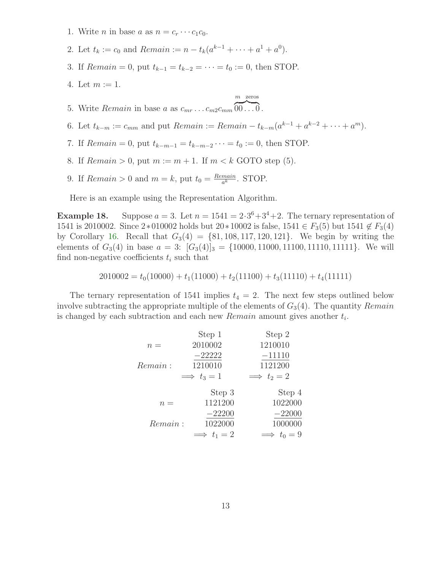- 1. Write *n* in base *a* as  $n = c_r \cdots c_1 c_0$ .
- 2. Let  $t_k := c_0$  and  $Remain := n t_k(a^{k-1} + \cdots + a^1 + a^0)$ .
- 3. If  $Remain = 0$ , put  $t_{k-1} = t_{k-2} = \cdots = t_0 := 0$ , then STOP.
- 4. Let  $m := 1$ .

$$
m \text{ zeros}
$$

- 5. Write *Remain* in base a as  $c_{mr} \dots c_{m2} c_{mm} \overline{00 \dots 0}$ .
- 6. Let  $t_{k-m} := c_{mm}$  and put  $Remain := Remain t_{k-m}(a^{k-1} + a^{k-2} + \cdots + a^m)$ .
- 7. If  $Remain = 0$ , put  $t_{k-m-1} = t_{k-m-2} \cdots = t_0 := 0$ , then STOP.
- 8. If  $Remain > 0$ , put  $m := m + 1$ . If  $m < k$  GOTO step (5).
- 9. If  $Remain > 0$  and  $m = k$ , put  $t_0 = \frac{Remain}{a^k}$  $\frac{main}{a^k}$ . STOP.

Here is an example using the Representation Algorithm.

**Example 18.** Suppose  $a = 3$ . Let  $n = 1541 = 2 \cdot 3^6 + 3^4 + 2$ . The ternary representation of 1541 is 2010002. Since 2∗010002 holds but  $20*10002$  is false,  $1541 \in F_3(5)$  but  $1541 \notin F_3(4)$ by Corollary [16.](#page-11-0) Recall that  $G_3(4) = \{81, 108, 117, 120, 121\}$ . We begin by writing the elements of  $G_3(4)$  in base  $a = 3$ :  $[G_3(4)]_3 = \{10000, 11000, 11100, 11110, 11111\}$ . We will find non-negative coefficients  $t_i$  such that

$$
2010002 = t_0(10000) + t_1(11000) + t_2(11100) + t_3(11110) + t_4(11111)
$$

The ternary representation of 1541 implies  $t_4 = 2$ . The next few steps outlined below involve subtracting the appropriate multiple of the elements of  $G_3(4)$ . The quantity Remain is changed by each subtraction and each new  $Remain$  amount gives another  $t_i$ .

|         | Step 1             | Step 2             |
|---------|--------------------|--------------------|
| $n =$   | 2010002            | 1210010            |
|         | $-22222$           | $-11110$           |
| Remain: | 1210010            | 1121200            |
|         | $\implies t_3=1$   | $\implies t_2 = 2$ |
|         | Step 3             | Step 4             |
| $n =$   | 1121200            | 1022000            |
|         | $-22200$           | $-22000$           |
| Remain: | 1022000            | 1000000            |
|         | $\implies t_1 = 2$ | $\implies t_0 = 9$ |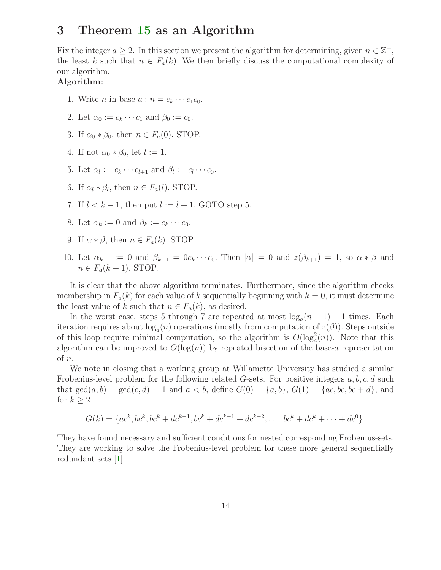### 3 Theorem [15](#page-9-0) as an Algorithm

Fix the integer  $a \geq 2$ . In this section we present the algorithm for determining, given  $n \in \mathbb{Z}^+$ , the least k such that  $n \in F_a(k)$ . We then briefly discuss the computational complexity of our algorithm.

#### Algorithm:

- 1. Write *n* in base  $a : n = c_k \cdots c_1 c_0$ .
- 2. Let  $\alpha_0 := c_k \cdots c_1$  and  $\beta_0 := c_0$ .
- 3. If  $\alpha_0 * \beta_0$ , then  $n \in F_a(0)$ . STOP.
- 4. If not  $\alpha_0 * \beta_0$ , let  $l := 1$ .
- 5. Let  $\alpha_l := c_k \cdots c_{l+1}$  and  $\beta_l := c_l \cdots c_0$ .
- 6. If  $\alpha_l * \beta_l$ , then  $n \in F_a(l)$ . STOP.
- 7. If  $l < k-1$ , then put  $l := l + 1$ . GOTO step 5.
- 8. Let  $\alpha_k := 0$  and  $\beta_k := c_k \cdots c_0$ .
- 9. If  $\alpha * \beta$ , then  $n \in F_a(k)$ . STOP.
- 10. Let  $\alpha_{k+1} := 0$  and  $\beta_{k+1} = 0 \, c_k \cdots c_0$ . Then  $|\alpha| = 0$  and  $z(\beta_{k+1}) = 1$ , so  $\alpha * \beta$  and  $n \in F_a(k+1)$ . STOP.

It is clear that the above algorithm terminates. Furthermore, since the algorithm checks membership in  $F_a(k)$  for each value of k sequentially beginning with  $k = 0$ , it must determine the least value of k such that  $n \in F_a(k)$ , as desired.

In the worst case, steps 5 through 7 are repeated at most  $log_a(n-1) + 1$  times. Each iteration requires about  $log_a(n)$  operations (mostly from computation of  $z(\beta)$ ). Steps outside of this loop require minimal computation, so the algorithm is  $O(log_a^2(n))$ . Note that this algorithm can be improved to  $O(\log(n))$  by repeated bisection of the base-a representation of n.

We note in closing that a working group at Willamette University has studied a similar Frobenius-level problem for the following related G-sets. For positive integers  $a, b, c, d$  such that  $gcd(a, b) = gcd(c, d) = 1$  and  $a < b$ , define  $G(0) = \{a, b\}$ ,  $G(1) = \{ac, bc, bc + d\}$ , and for  $k \geq 2$ 

$$
G(k) = \{ac^k, bc^k, bc^k + dc^{k-1}, bc^k + dc^{k-1} + dc^{k-2}, \dots, bc^k + dc^k + \dots + dc^0\}.
$$

They have found necessary and sufficient conditions for nested corresponding Frobenius-sets. They are working to solve the Frobenius-level problem for these more general sequentially redundant sets [\[1\]](#page-14-12).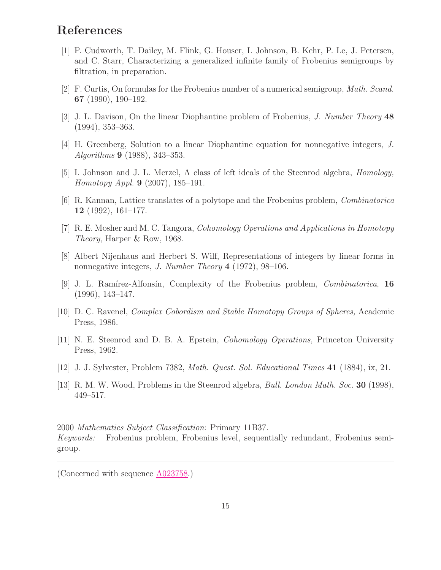# <span id="page-14-12"></span>References

- [1] P. Cudworth, T. Dailey, M. Flink, G. Houser, I. Johnson, B. Kehr, P. Le, J. Petersen, and C. Starr, Characterizing a generalized infinite family of Frobenius semigroups by filtration, in preparation.
- <span id="page-14-2"></span><span id="page-14-1"></span>[2] F. Curtis, On formulas for the Frobenius number of a numerical semigroup, Math. Scand. 67 (1990), 190–192.
- <span id="page-14-3"></span>[3] J. L. Davison, On the linear Diophantine problem of Frobenius, J. Number Theory 48 (1994), 353–363.
- <span id="page-14-6"></span>[4] H. Greenberg, Solution to a linear Diophantine equation for nonnegative integers, J. Algorithms 9 (1988), 343–353.
- <span id="page-14-5"></span>[5] I. Johnson and J. L. Merzel, A class of left ideals of the Steenrod algebra, Homology, Homotopy Appl. 9 (2007), 185–191.
- <span id="page-14-7"></span>[6] R. Kannan, Lattice translates of a polytope and the Frobenius problem, Combinatorica 12 (1992), 161–177.
- <span id="page-14-11"></span>[7] R. E. Mosher and M. C. Tangora, Cohomology Operations and Applications in Homotopy Theory, Harper & Row, 1968.
- [8] Albert Nijenhaus and Herbert S. Wilf, Representations of integers by linear forms in nonnegative integers, *J. Number Theory* 4 (1972), 98–106.
- <span id="page-14-4"></span>[9] J. L. Ramírez-Alfonsín, Complexity of the Frobenius problem, *Combinatorica*, 16 (1996), 143–147.
- <span id="page-14-8"></span>[10] D. C. Ravenel, Complex Cobordism and Stable Homotopy Groups of Spheres, Academic Press, 1986.
- <span id="page-14-9"></span>[11] N. E. Steenrod and D. B. A. Epstein, Cohomology Operations, Princeton University Press, 1962.
- <span id="page-14-10"></span><span id="page-14-0"></span>[12] J. J. Sylvester, Problem 7382, Math. Quest. Sol. Educational Times 41 (1884), ix, 21.
- [13] R. M. W. Wood, Problems in the Steenrod algebra, *Bull. London Math. Soc.* **30** (1998), 449–517.

2000 Mathematics Subject Classification: Primary 11B37.

Keywords: Frobenius problem, Frobenius level, sequentially redundant, Frobenius semigroup.

(Concerned with sequence [A023758.](http://www.research.att.com/cgi-bin/access.cgi/as/~njas/sequences/eisA.cgi?Anum=A023758))